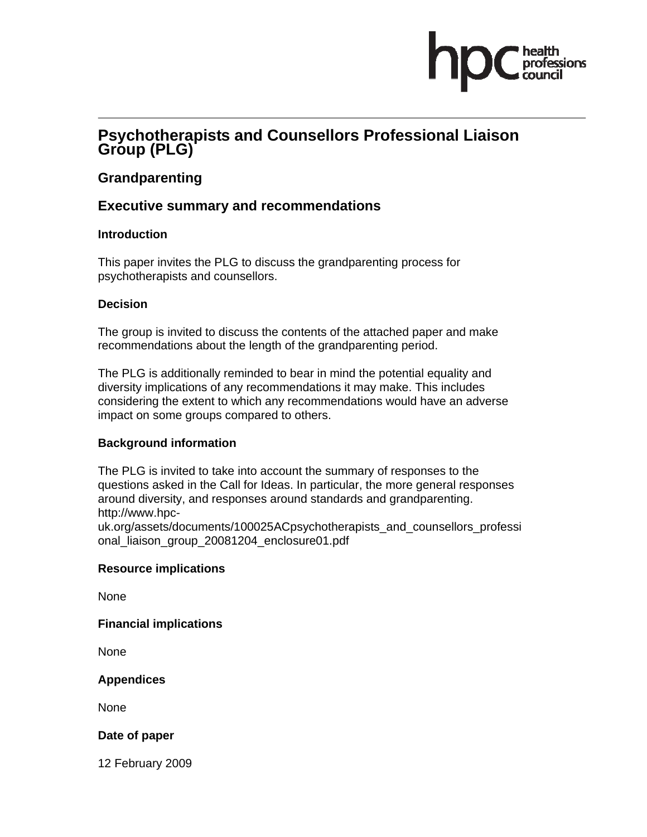## **Psychotherapists and Counsellors Professional Liaison Group (PLG)**

## **Grandparenting**

## **Executive summary and recommendations**

#### **Introduction**

This paper invites the PLG to discuss the grandparenting process for psychotherapists and counsellors.

#### **Decision**

The group is invited to discuss the contents of the attached paper and make recommendations about the length of the grandparenting period.

The PLG is additionally reminded to bear in mind the potential equality and diversity implications of any recommendations it may make. This includes considering the extent to which any recommendations would have an adverse impact on some groups compared to others.

## **Background information**

The PLG is invited to take into account the summary of responses to the questions asked in the Call for Ideas. In particular, the more general responses around diversity, and responses around standards and grandparenting. http://www.hpcuk.org/assets/documents/100025ACpsychotherapists\_and\_counsellors\_professi onal\_liaison\_group\_20081204\_enclosure01.pdf

#### **Resource implications**

None

**Financial implications** 

None

**Appendices** 

None

#### **Date of paper**

12 February 2009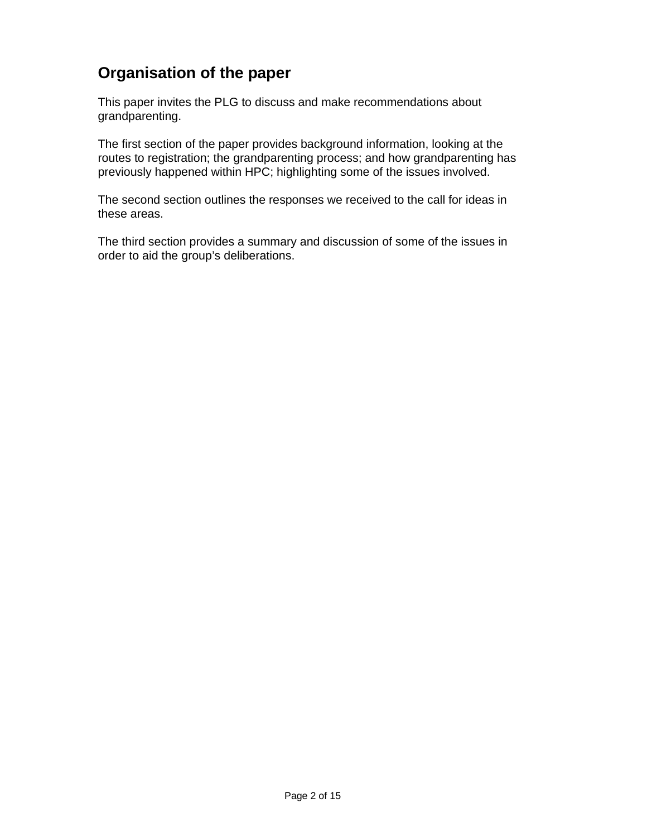# **Organisation of the paper**

This paper invites the PLG to discuss and make recommendations about grandparenting.

The first section of the paper provides background information, looking at the routes to registration; the grandparenting process; and how grandparenting has previously happened within HPC; highlighting some of the issues involved.

The second section outlines the responses we received to the call for ideas in these areas.

The third section provides a summary and discussion of some of the issues in order to aid the group's deliberations.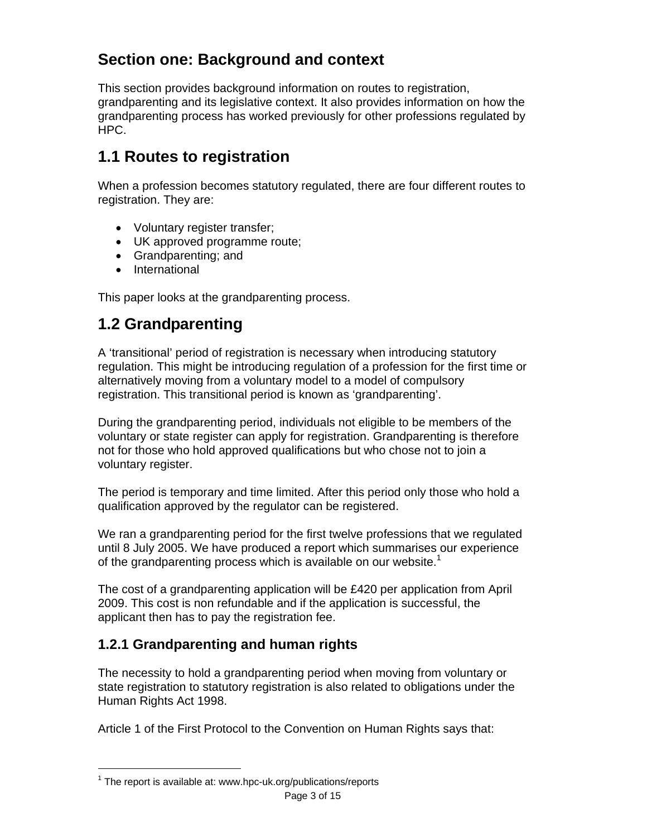# **Section one: Background and context**

This section provides background information on routes to registration, grandparenting and its legislative context. It also provides information on how the grandparenting process has worked previously for other professions regulated by HPC.

# **1.1 Routes to registration**

When a profession becomes statutory regulated, there are four different routes to registration. They are:

- Voluntary register transfer;
- UK approved programme route;
- Grandparenting; and
- International

This paper looks at the grandparenting process.

# **1.2 Grandparenting**

A 'transitional' period of registration is necessary when introducing statutory regulation. This might be introducing regulation of a profession for the first time or alternatively moving from a voluntary model to a model of compulsory registration. This transitional period is known as 'grandparenting'.

During the grandparenting period, individuals not eligible to be members of the voluntary or state register can apply for registration. Grandparenting is therefore not for those who hold approved qualifications but who chose not to join a voluntary register.

The period is temporary and time limited. After this period only those who hold a qualification approved by the regulator can be registered.

We ran a grandparenting period for the first twelve professions that we regulated until 8 July 2005. We have produced a report which summarises our experience of the grandparenting process which is available on our website.<sup>1</sup>

The cost of a grandparenting application will be £420 per application from April 2009. This cost is non refundable and if the application is successful, the applicant then has to pay the registration fee.

# **1.2.1 Grandparenting and human rights**

The necessity to hold a grandparenting period when moving from voluntary or state registration to statutory registration is also related to obligations under the Human Rights Act 1998.

Article 1 of the First Protocol to the Convention on Human Rights says that:

 $\overline{a}$ 

Page 3 of 15  $1$  The report is available at: www.hpc-uk.org/publications/reports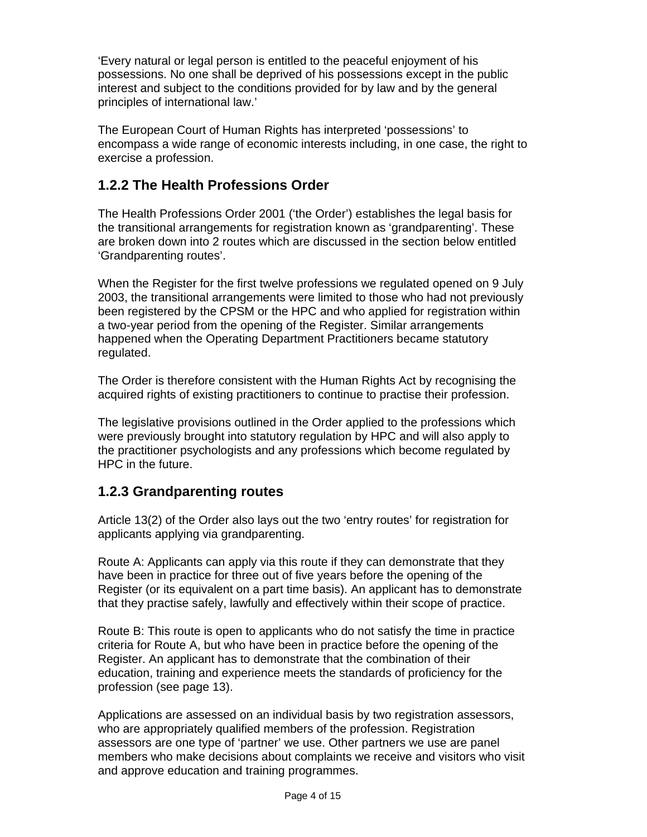'Every natural or legal person is entitled to the peaceful enjoyment of his possessions. No one shall be deprived of his possessions except in the public interest and subject to the conditions provided for by law and by the general principles of international law.'

The European Court of Human Rights has interpreted 'possessions' to encompass a wide range of economic interests including, in one case, the right to exercise a profession.

## **1.2.2 The Health Professions Order**

The Health Professions Order 2001 ('the Order') establishes the legal basis for the transitional arrangements for registration known as 'grandparenting'. These are broken down into 2 routes which are discussed in the section below entitled 'Grandparenting routes'.

When the Register for the first twelve professions we regulated opened on 9 July 2003, the transitional arrangements were limited to those who had not previously been registered by the CPSM or the HPC and who applied for registration within a two-year period from the opening of the Register. Similar arrangements happened when the Operating Department Practitioners became statutory regulated.

The Order is therefore consistent with the Human Rights Act by recognising the acquired rights of existing practitioners to continue to practise their profession.

The legislative provisions outlined in the Order applied to the professions which were previously brought into statutory regulation by HPC and will also apply to the practitioner psychologists and any professions which become regulated by HPC in the future.

## **1.2.3 Grandparenting routes**

Article 13(2) of the Order also lays out the two 'entry routes' for registration for applicants applying via grandparenting.

Route A: Applicants can apply via this route if they can demonstrate that they have been in practice for three out of five years before the opening of the Register (or its equivalent on a part time basis). An applicant has to demonstrate that they practise safely, lawfully and effectively within their scope of practice.

Route B: This route is open to applicants who do not satisfy the time in practice criteria for Route A, but who have been in practice before the opening of the Register. An applicant has to demonstrate that the combination of their education, training and experience meets the standards of proficiency for the profession (see page 13).

Applications are assessed on an individual basis by two registration assessors, who are appropriately qualified members of the profession. Registration assessors are one type of 'partner' we use. Other partners we use are panel members who make decisions about complaints we receive and visitors who visit and approve education and training programmes.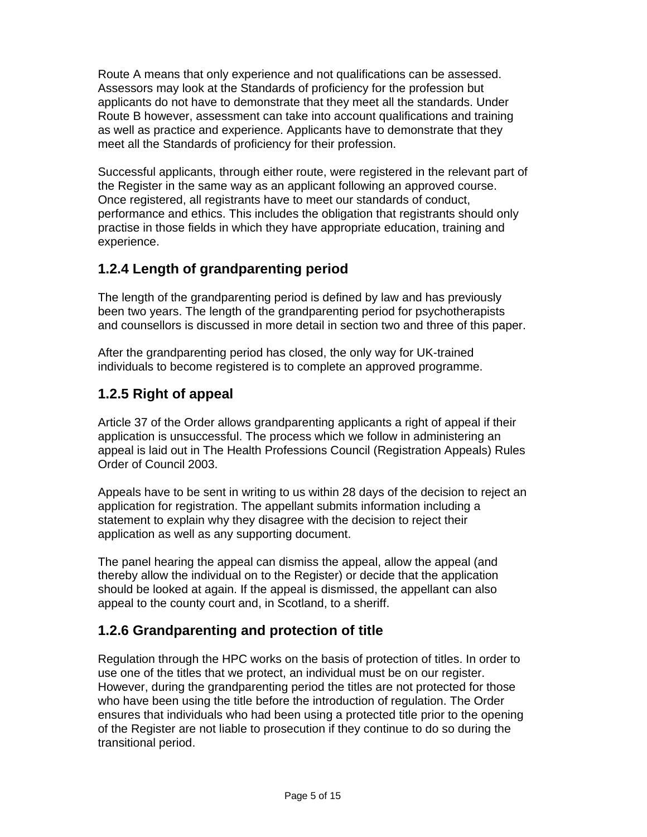Route A means that only experience and not qualifications can be assessed. Assessors may look at the Standards of proficiency for the profession but applicants do not have to demonstrate that they meet all the standards. Under Route B however, assessment can take into account qualifications and training as well as practice and experience. Applicants have to demonstrate that they meet all the Standards of proficiency for their profession.

Successful applicants, through either route, were registered in the relevant part of the Register in the same way as an applicant following an approved course. Once registered, all registrants have to meet our standards of conduct, performance and ethics. This includes the obligation that registrants should only practise in those fields in which they have appropriate education, training and experience.

## **1.2.4 Length of grandparenting period**

The length of the grandparenting period is defined by law and has previously been two years. The length of the grandparenting period for psychotherapists and counsellors is discussed in more detail in section two and three of this paper.

After the grandparenting period has closed, the only way for UK-trained individuals to become registered is to complete an approved programme.

## **1.2.5 Right of appeal**

Article 37 of the Order allows grandparenting applicants a right of appeal if their application is unsuccessful. The process which we follow in administering an appeal is laid out in The Health Professions Council (Registration Appeals) Rules Order of Council 2003.

Appeals have to be sent in writing to us within 28 days of the decision to reject an application for registration. The appellant submits information including a statement to explain why they disagree with the decision to reject their application as well as any supporting document.

The panel hearing the appeal can dismiss the appeal, allow the appeal (and thereby allow the individual on to the Register) or decide that the application should be looked at again. If the appeal is dismissed, the appellant can also appeal to the county court and, in Scotland, to a sheriff.

## **1.2.6 Grandparenting and protection of title**

Regulation through the HPC works on the basis of protection of titles. In order to use one of the titles that we protect, an individual must be on our register. However, during the grandparenting period the titles are not protected for those who have been using the title before the introduction of regulation. The Order ensures that individuals who had been using a protected title prior to the opening of the Register are not liable to prosecution if they continue to do so during the transitional period.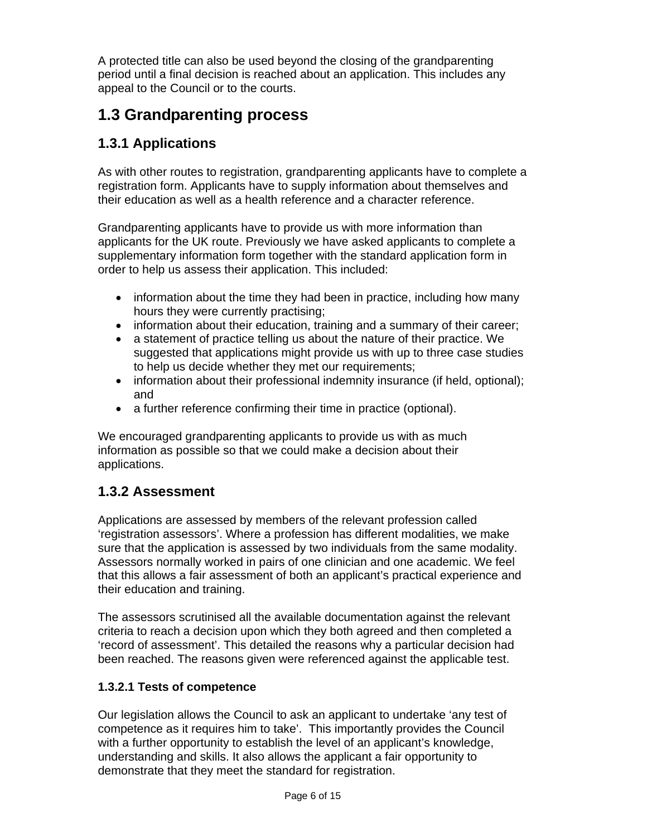A protected title can also be used beyond the closing of the grandparenting period until a final decision is reached about an application. This includes any appeal to the Council or to the courts.

# **1.3 Grandparenting process**

## **1.3.1 Applications**

As with other routes to registration, grandparenting applicants have to complete a registration form. Applicants have to supply information about themselves and their education as well as a health reference and a character reference.

Grandparenting applicants have to provide us with more information than applicants for the UK route. Previously we have asked applicants to complete a supplementary information form together with the standard application form in order to help us assess their application. This included:

- information about the time they had been in practice, including how many hours they were currently practising;
- information about their education, training and a summary of their career;
- a statement of practice telling us about the nature of their practice. We suggested that applications might provide us with up to three case studies to help us decide whether they met our requirements;
- information about their professional indemnity insurance (if held, optional); and
- a further reference confirming their time in practice (optional).

We encouraged grandparenting applicants to provide us with as much information as possible so that we could make a decision about their applications.

## **1.3.2 Assessment**

Applications are assessed by members of the relevant profession called 'registration assessors'. Where a profession has different modalities, we make sure that the application is assessed by two individuals from the same modality. Assessors normally worked in pairs of one clinician and one academic. We feel that this allows a fair assessment of both an applicant's practical experience and their education and training.

The assessors scrutinised all the available documentation against the relevant criteria to reach a decision upon which they both agreed and then completed a 'record of assessment'. This detailed the reasons why a particular decision had been reached. The reasons given were referenced against the applicable test.

#### **1.3.2.1 Tests of competence**

Our legislation allows the Council to ask an applicant to undertake 'any test of competence as it requires him to take'. This importantly provides the Council with a further opportunity to establish the level of an applicant's knowledge, understanding and skills. It also allows the applicant a fair opportunity to demonstrate that they meet the standard for registration.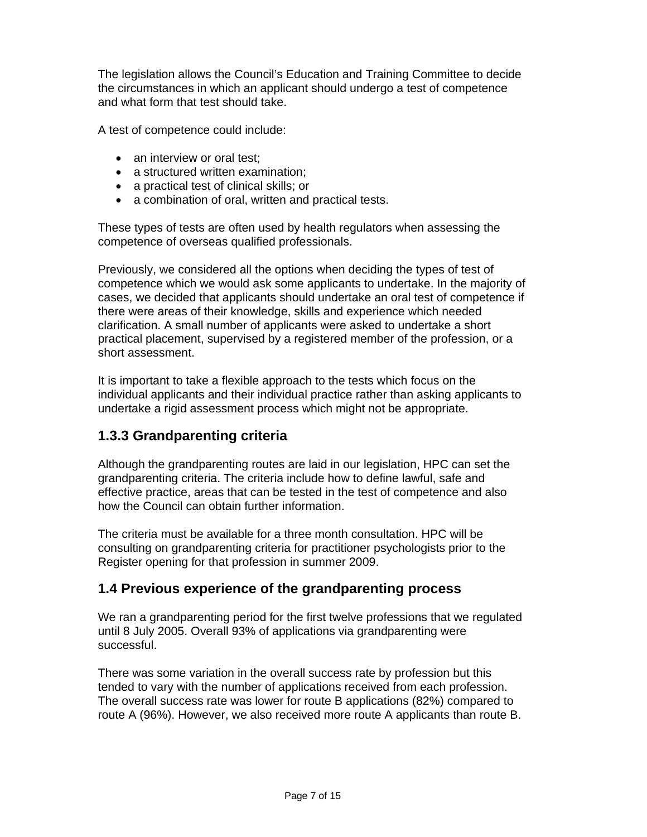The legislation allows the Council's Education and Training Committee to decide the circumstances in which an applicant should undergo a test of competence and what form that test should take.

A test of competence could include:

- an interview or oral test;
- a structured written examination;
- a practical test of clinical skills; or
- a combination of oral, written and practical tests.

These types of tests are often used by health regulators when assessing the competence of overseas qualified professionals.

Previously, we considered all the options when deciding the types of test of competence which we would ask some applicants to undertake. In the majority of cases, we decided that applicants should undertake an oral test of competence if there were areas of their knowledge, skills and experience which needed clarification. A small number of applicants were asked to undertake a short practical placement, supervised by a registered member of the profession, or a short assessment.

It is important to take a flexible approach to the tests which focus on the individual applicants and their individual practice rather than asking applicants to undertake a rigid assessment process which might not be appropriate.

## **1.3.3 Grandparenting criteria**

Although the grandparenting routes are laid in our legislation, HPC can set the grandparenting criteria. The criteria include how to define lawful, safe and effective practice, areas that can be tested in the test of competence and also how the Council can obtain further information.

The criteria must be available for a three month consultation. HPC will be consulting on grandparenting criteria for practitioner psychologists prior to the Register opening for that profession in summer 2009.

## **1.4 Previous experience of the grandparenting process**

We ran a grandparenting period for the first twelve professions that we regulated until 8 July 2005. Overall 93% of applications via grandparenting were successful.

There was some variation in the overall success rate by profession but this tended to vary with the number of applications received from each profession. The overall success rate was lower for route B applications (82%) compared to route A (96%). However, we also received more route A applicants than route B.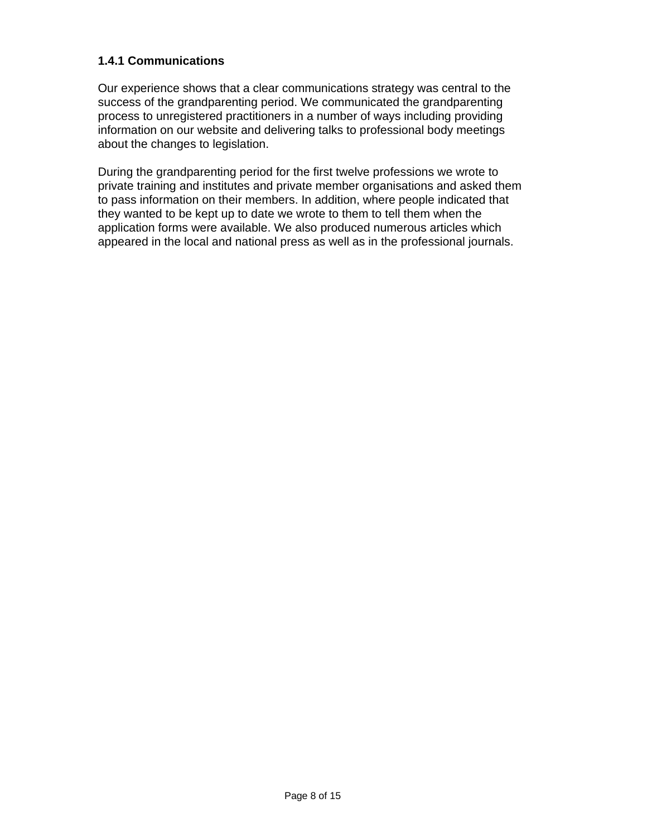#### **1.4.1 Communications**

Our experience shows that a clear communications strategy was central to the success of the grandparenting period. We communicated the grandparenting process to unregistered practitioners in a number of ways including providing information on our website and delivering talks to professional body meetings about the changes to legislation.

During the grandparenting period for the first twelve professions we wrote to private training and institutes and private member organisations and asked them to pass information on their members. In addition, where people indicated that they wanted to be kept up to date we wrote to them to tell them when the application forms were available. We also produced numerous articles which appeared in the local and national press as well as in the professional journals.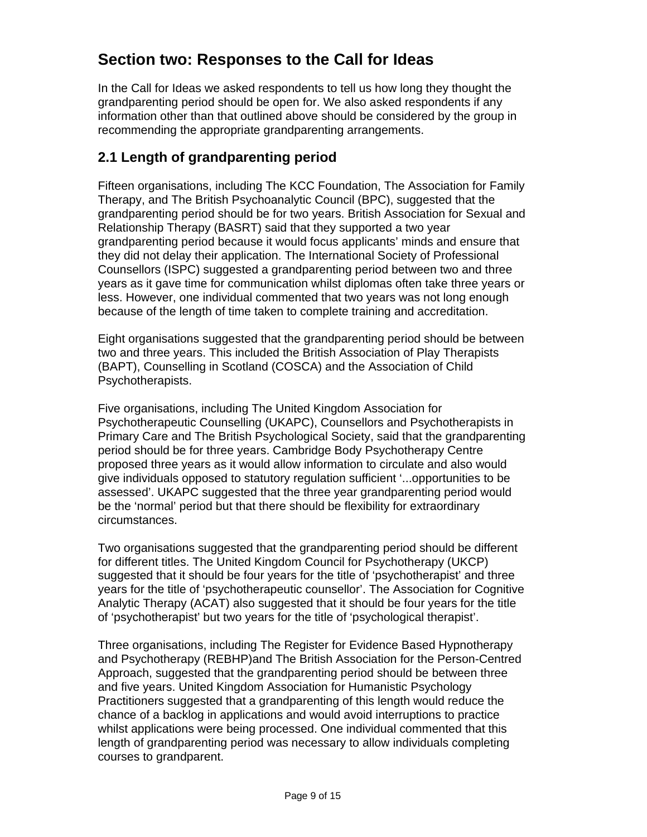# **Section two: Responses to the Call for Ideas**

In the Call for Ideas we asked respondents to tell us how long they thought the grandparenting period should be open for. We also asked respondents if any information other than that outlined above should be considered by the group in recommending the appropriate grandparenting arrangements.

## **2.1 Length of grandparenting period**

Fifteen organisations, including The KCC Foundation, The Association for Family Therapy, and The British Psychoanalytic Council (BPC), suggested that the grandparenting period should be for two years. British Association for Sexual and Relationship Therapy (BASRT) said that they supported a two year grandparenting period because it would focus applicants' minds and ensure that they did not delay their application. The International Society of Professional Counsellors (ISPC) suggested a grandparenting period between two and three years as it gave time for communication whilst diplomas often take three years or less. However, one individual commented that two years was not long enough because of the length of time taken to complete training and accreditation.

Eight organisations suggested that the grandparenting period should be between two and three years. This included the British Association of Play Therapists (BAPT), Counselling in Scotland (COSCA) and the Association of Child Psychotherapists.

Five organisations, including The United Kingdom Association for Psychotherapeutic Counselling (UKAPC), Counsellors and Psychotherapists in Primary Care and The British Psychological Society, said that the grandparenting period should be for three years. Cambridge Body Psychotherapy Centre proposed three years as it would allow information to circulate and also would give individuals opposed to statutory regulation sufficient '...opportunities to be assessed'. UKAPC suggested that the three year grandparenting period would be the 'normal' period but that there should be flexibility for extraordinary circumstances.

Two organisations suggested that the grandparenting period should be different for different titles. The United Kingdom Council for Psychotherapy (UKCP) suggested that it should be four years for the title of 'psychotherapist' and three years for the title of 'psychotherapeutic counsellor'. The Association for Cognitive Analytic Therapy (ACAT) also suggested that it should be four years for the title of 'psychotherapist' but two years for the title of 'psychological therapist'.

Three organisations, including The Register for Evidence Based Hypnotherapy and Psychotherapy (REBHP)and The British Association for the Person-Centred Approach, suggested that the grandparenting period should be between three and five years. United Kingdom Association for Humanistic Psychology Practitioners suggested that a grandparenting of this length would reduce the chance of a backlog in applications and would avoid interruptions to practice whilst applications were being processed. One individual commented that this length of grandparenting period was necessary to allow individuals completing courses to grandparent.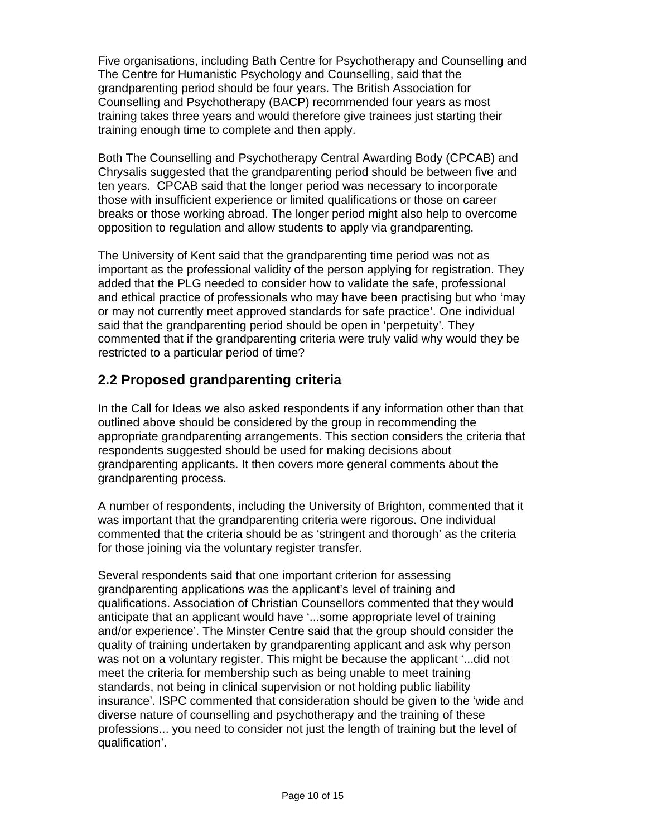Five organisations, including Bath Centre for Psychotherapy and Counselling and The Centre for Humanistic Psychology and Counselling, said that the grandparenting period should be four years. The British Association for Counselling and Psychotherapy (BACP) recommended four years as most training takes three years and would therefore give trainees just starting their training enough time to complete and then apply.

Both The Counselling and Psychotherapy Central Awarding Body (CPCAB) and Chrysalis suggested that the grandparenting period should be between five and ten years. CPCAB said that the longer period was necessary to incorporate those with insufficient experience or limited qualifications or those on career breaks or those working abroad. The longer period might also help to overcome opposition to regulation and allow students to apply via grandparenting.

The University of Kent said that the grandparenting time period was not as important as the professional validity of the person applying for registration. They added that the PLG needed to consider how to validate the safe, professional and ethical practice of professionals who may have been practising but who 'may or may not currently meet approved standards for safe practice'. One individual said that the grandparenting period should be open in 'perpetuity'. They commented that if the grandparenting criteria were truly valid why would they be restricted to a particular period of time?

## **2.2 Proposed grandparenting criteria**

In the Call for Ideas we also asked respondents if any information other than that outlined above should be considered by the group in recommending the appropriate grandparenting arrangements. This section considers the criteria that respondents suggested should be used for making decisions about grandparenting applicants. It then covers more general comments about the grandparenting process.

A number of respondents, including the University of Brighton, commented that it was important that the grandparenting criteria were rigorous. One individual commented that the criteria should be as 'stringent and thorough' as the criteria for those joining via the voluntary register transfer.

Several respondents said that one important criterion for assessing grandparenting applications was the applicant's level of training and qualifications. Association of Christian Counsellors commented that they would anticipate that an applicant would have '...some appropriate level of training and/or experience'. The Minster Centre said that the group should consider the quality of training undertaken by grandparenting applicant and ask why person was not on a voluntary register. This might be because the applicant '...did not meet the criteria for membership such as being unable to meet training standards, not being in clinical supervision or not holding public liability insurance'. ISPC commented that consideration should be given to the 'wide and diverse nature of counselling and psychotherapy and the training of these professions... you need to consider not just the length of training but the level of qualification'.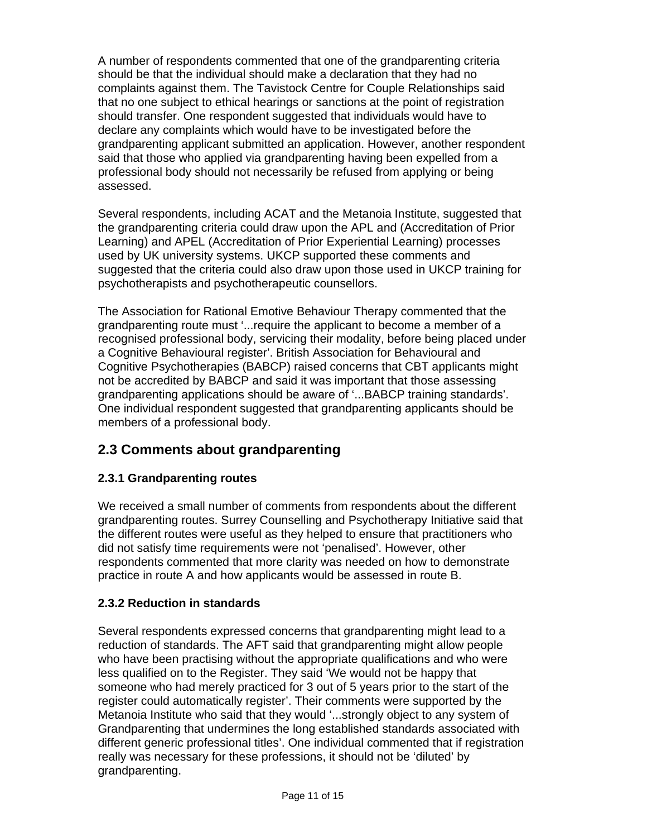A number of respondents commented that one of the grandparenting criteria should be that the individual should make a declaration that they had no complaints against them. The Tavistock Centre for Couple Relationships said that no one subject to ethical hearings or sanctions at the point of registration should transfer. One respondent suggested that individuals would have to declare any complaints which would have to be investigated before the grandparenting applicant submitted an application. However, another respondent said that those who applied via grandparenting having been expelled from a professional body should not necessarily be refused from applying or being assessed.

Several respondents, including ACAT and the Metanoia Institute, suggested that the grandparenting criteria could draw upon the APL and (Accreditation of Prior Learning) and APEL (Accreditation of Prior Experiential Learning) processes used by UK university systems. UKCP supported these comments and suggested that the criteria could also draw upon those used in UKCP training for psychotherapists and psychotherapeutic counsellors.

The Association for Rational Emotive Behaviour Therapy commented that the grandparenting route must '...require the applicant to become a member of a recognised professional body, servicing their modality, before being placed under a Cognitive Behavioural register'. British Association for Behavioural and Cognitive Psychotherapies (BABCP) raised concerns that CBT applicants might not be accredited by BABCP and said it was important that those assessing grandparenting applications should be aware of '...BABCP training standards'. One individual respondent suggested that grandparenting applicants should be members of a professional body.

## **2.3 Comments about grandparenting**

#### **2.3.1 Grandparenting routes**

We received a small number of comments from respondents about the different grandparenting routes. Surrey Counselling and Psychotherapy Initiative said that the different routes were useful as they helped to ensure that practitioners who did not satisfy time requirements were not 'penalised'. However, other respondents commented that more clarity was needed on how to demonstrate practice in route A and how applicants would be assessed in route B.

#### **2.3.2 Reduction in standards**

Several respondents expressed concerns that grandparenting might lead to a reduction of standards. The AFT said that grandparenting might allow people who have been practising without the appropriate qualifications and who were less qualified on to the Register. They said 'We would not be happy that someone who had merely practiced for 3 out of 5 years prior to the start of the register could automatically register'. Their comments were supported by the Metanoia Institute who said that they would '...strongly object to any system of Grandparenting that undermines the long established standards associated with different generic professional titles'. One individual commented that if registration really was necessary for these professions, it should not be 'diluted' by grandparenting.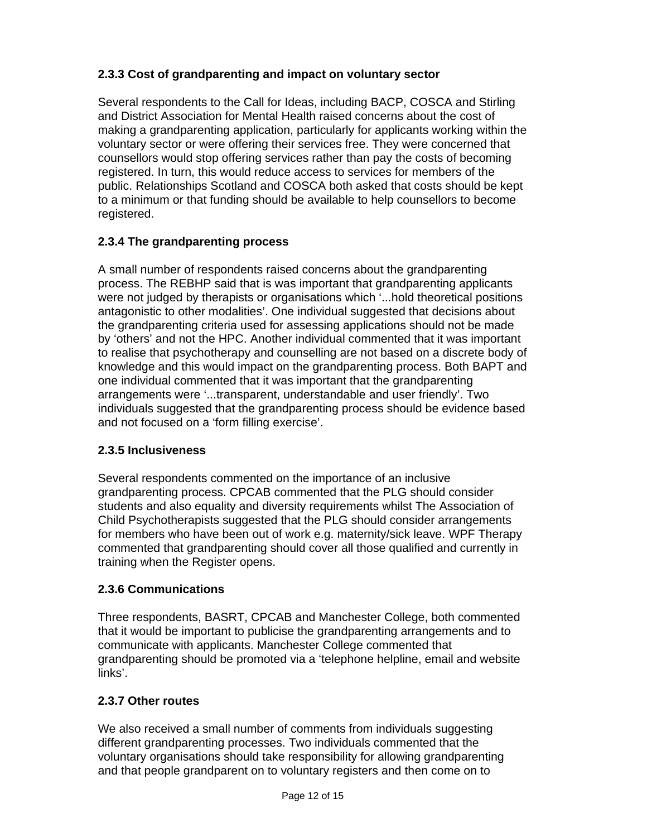### **2.3.3 Cost of grandparenting and impact on voluntary sector**

Several respondents to the Call for Ideas, including BACP, COSCA and Stirling and District Association for Mental Health raised concerns about the cost of making a grandparenting application, particularly for applicants working within the voluntary sector or were offering their services free. They were concerned that counsellors would stop offering services rather than pay the costs of becoming registered. In turn, this would reduce access to services for members of the public. Relationships Scotland and COSCA both asked that costs should be kept to a minimum or that funding should be available to help counsellors to become registered.

### **2.3.4 The grandparenting process**

A small number of respondents raised concerns about the grandparenting process. The REBHP said that is was important that grandparenting applicants were not judged by therapists or organisations which '...hold theoretical positions antagonistic to other modalities'. One individual suggested that decisions about the grandparenting criteria used for assessing applications should not be made by 'others' and not the HPC. Another individual commented that it was important to realise that psychotherapy and counselling are not based on a discrete body of knowledge and this would impact on the grandparenting process. Both BAPT and one individual commented that it was important that the grandparenting arrangements were '...transparent, understandable and user friendly'. Two individuals suggested that the grandparenting process should be evidence based and not focused on a 'form filling exercise'.

#### **2.3.5 Inclusiveness**

Several respondents commented on the importance of an inclusive grandparenting process. CPCAB commented that the PLG should consider students and also equality and diversity requirements whilst The Association of Child Psychotherapists suggested that the PLG should consider arrangements for members who have been out of work e.g. maternity/sick leave. WPF Therapy commented that grandparenting should cover all those qualified and currently in training when the Register opens.

#### **2.3.6 Communications**

Three respondents, BASRT, CPCAB and Manchester College, both commented that it would be important to publicise the grandparenting arrangements and to communicate with applicants. Manchester College commented that grandparenting should be promoted via a 'telephone helpline, email and website links'.

#### **2.3.7 Other routes**

We also received a small number of comments from individuals suggesting different grandparenting processes. Two individuals commented that the voluntary organisations should take responsibility for allowing grandparenting and that people grandparent on to voluntary registers and then come on to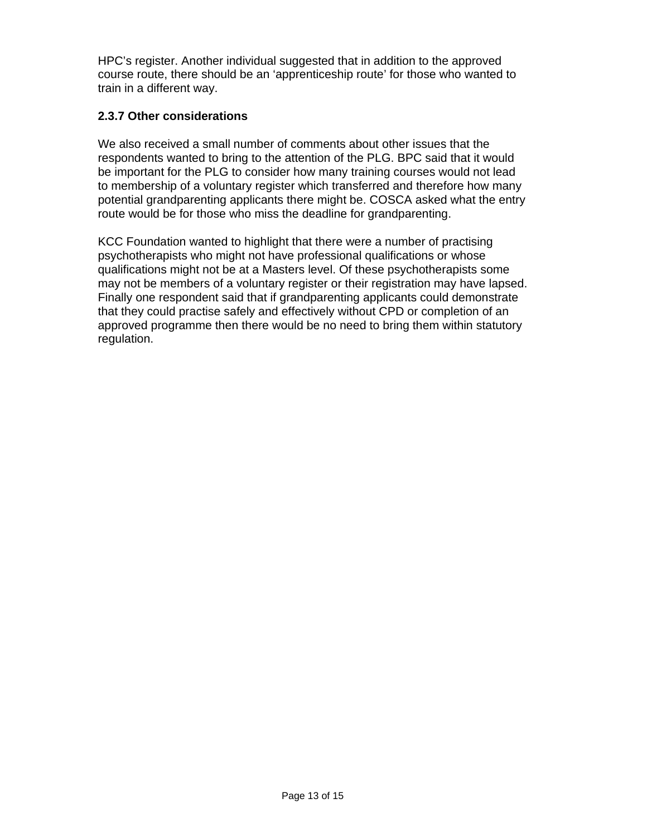HPC's register. Another individual suggested that in addition to the approved course route, there should be an 'apprenticeship route' for those who wanted to train in a different way.

#### **2.3.7 Other considerations**

We also received a small number of comments about other issues that the respondents wanted to bring to the attention of the PLG. BPC said that it would be important for the PLG to consider how many training courses would not lead to membership of a voluntary register which transferred and therefore how many potential grandparenting applicants there might be. COSCA asked what the entry route would be for those who miss the deadline for grandparenting.

KCC Foundation wanted to highlight that there were a number of practising psychotherapists who might not have professional qualifications or whose qualifications might not be at a Masters level. Of these psychotherapists some may not be members of a voluntary register or their registration may have lapsed. Finally one respondent said that if grandparenting applicants could demonstrate that they could practise safely and effectively without CPD or completion of an approved programme then there would be no need to bring them within statutory regulation.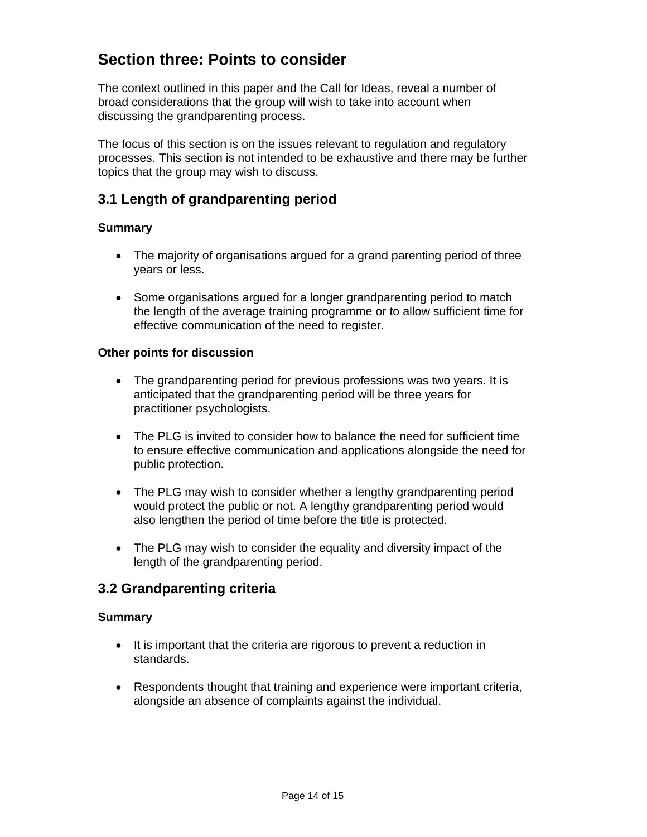# **Section three: Points to consider**

The context outlined in this paper and the Call for Ideas, reveal a number of broad considerations that the group will wish to take into account when discussing the grandparenting process.

The focus of this section is on the issues relevant to regulation and regulatory processes. This section is not intended to be exhaustive and there may be further topics that the group may wish to discuss.

## **3.1 Length of grandparenting period**

#### **Summary**

- The majority of organisations argued for a grand parenting period of three years or less.
- Some organisations argued for a longer grandparenting period to match the length of the average training programme or to allow sufficient time for effective communication of the need to register.

#### **Other points for discussion**

- The grandparenting period for previous professions was two years. It is anticipated that the grandparenting period will be three years for practitioner psychologists.
- The PLG is invited to consider how to balance the need for sufficient time to ensure effective communication and applications alongside the need for public protection.
- The PLG may wish to consider whether a lengthy grandparenting period would protect the public or not. A lengthy grandparenting period would also lengthen the period of time before the title is protected.
- The PLG may wish to consider the equality and diversity impact of the length of the grandparenting period.

#### **3.2 Grandparenting criteria**

#### **Summary**

- It is important that the criteria are rigorous to prevent a reduction in standards.
- Respondents thought that training and experience were important criteria, alongside an absence of complaints against the individual.